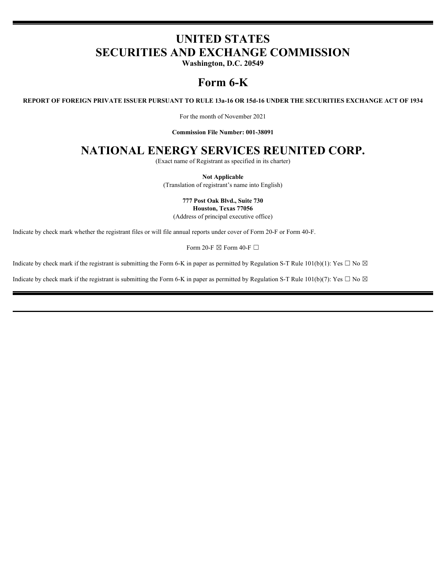# **UNITED STATES SECURITIES AND EXCHANGE COMMISSION**

**Washington, D.C. 20549**

# **Form 6-K**

**REPORT OF FOREIGN PRIVATE ISSUER PURSUANT TO RULE 13a-16 OR 15d-16 UNDER THE SECURITIES EXCHANGE ACT OF 1934**

For the month of November 2021

**Commission File Number: 001-38091**

# **NATIONAL ENERGY SERVICES REUNITED CORP.**

(Exact name of Registrant as specified in its charter)

**Not Applicable** (Translation of registrant's name into English)

> **777 Post Oak Blvd., Suite 730 Houston, Texas 77056**

(Address of principal executive office)

Indicate by check mark whether the registrant files or will file annual reports under cover of Form 20-F or Form 40-F.

Form 20-F  $\boxtimes$  Form 40-F  $\Box$ 

Indicate by check mark if the registrant is submitting the Form 6-K in paper as permitted by Regulation S-T Rule 101(b)(1): Yes  $\Box$  No  $\boxtimes$ 

Indicate by check mark if the registrant is submitting the Form 6-K in paper as permitted by Regulation S-T Rule 101(b)(7): Yes  $\Box$  No  $\boxtimes$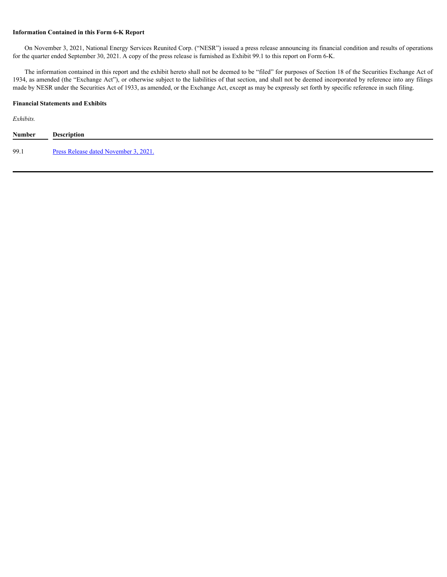#### **Information Contained in this Form 6-K Report**

On November 3, 2021, National Energy Services Reunited Corp. ("NESR") issued a press release announcing its financial condition and results of operations for the quarter ended September 30, 2021. A copy of the press release is furnished as Exhibit 99.1 to this report on Form 6-K.

The information contained in this report and the exhibit hereto shall not be deemed to be "filed" for purposes of Section 18 of the Securities Exchange Act of 1934, as amended (the "Exchange Act"), or otherwise subject to the liabilities of that section, and shall not be deemed incorporated by reference into any filings made by NESR under the Securities Act of 1933, as amended, or the Exchange Act, except as may be expressly set forth by specific reference in such filing.

#### **Financial Statements and Exhibits**

*Exhibits.*

| <b>Number</b> | <b>Description</b>                    |
|---------------|---------------------------------------|
| 99.1          | Press Release dated November 3, 2021. |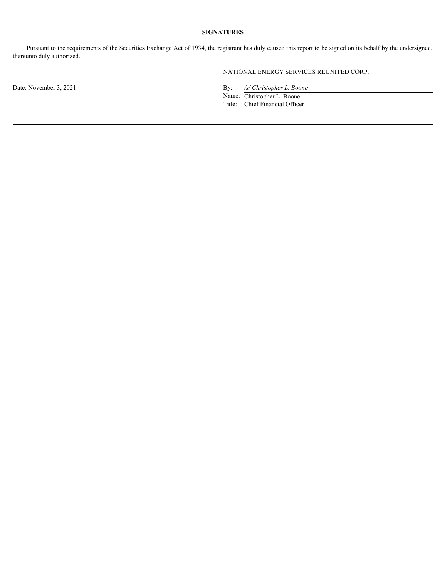## **SIGNATURES**

Pursuant to the requirements of the Securities Exchange Act of 1934, the registrant has duly caused this report to be signed on its behalf by the undersigned, thereunto duly authorized.

NATIONAL ENERGY SERVICES REUNITED CORP.

Date: November 3, 2021 By: */s/ Christopher L. Boone* 

Name: Christopher L. Boone Title: Chief Financial Officer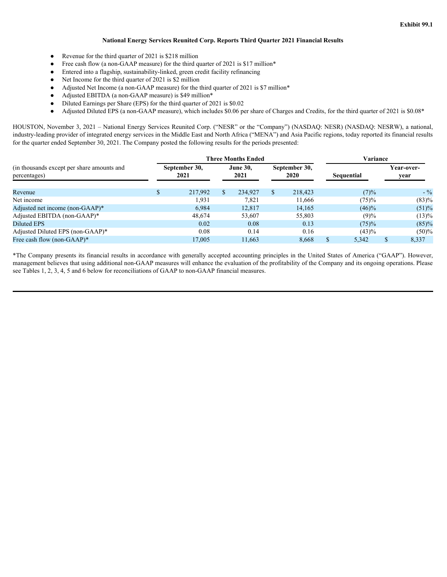#### **National Energy Services Reunited Corp. Reports Third Quarter 2021 Financial Results**

- <span id="page-3-0"></span>● Revenue for the third quarter of 2021 is \$218 million
- Free cash flow (a non-GAAP measure) for the third quarter of 2021 is \$17 million\*
- Entered into a flagship, sustainability-linked, green credit facility refinancing
- Net Income for the third quarter of 2021 is \$2 million
- Adjusted Net Income (a non-GAAP measure) for the third quarter of 2021 is \$7 million\*
- Adjusted EBITDA (a non-GAAP measure) is \$49 million\*
- Diluted Earnings per Share (EPS) for the third quarter of 2021 is \$0.02
- Adjusted Diluted EPS (a non-GAAP measure), which includes \$0.06 per share of Charges and Credits, for the third quarter of 2021 is \$0.08\*

HOUSTON, November 3, 2021 – National Energy Services Reunited Corp. ("NESR" or the "Company") (NASDAQ: NESR) (NASDAQ: NESRW), a national, industry-leading provider of integrated energy services in the Middle East and North Africa ("MENA") and Asia Pacific regions, today reported its financial results for the quarter ended September 30, 2021. The Company posted the following results for the periods presented:

|                                            | <b>Three Months Ended</b> |         |      |                 |  |               |  | Variance   |  |            |  |  |
|--------------------------------------------|---------------------------|---------|------|-----------------|--|---------------|--|------------|--|------------|--|--|
| (in thousands except per share amounts and | September 30,<br>2021     |         |      | <b>June 30,</b> |  | September 30, |  |            |  | Year-over- |  |  |
| percentages)                               |                           |         | 2021 |                 |  | 2020          |  | Sequential |  | year       |  |  |
| Revenue                                    |                           | 217,992 |      | 234,927         |  | 218,423       |  | (7)%       |  | $-$ %      |  |  |
| Net income                                 |                           | 1.931   |      | 7,821           |  | 11,666        |  | (75)%      |  | (83)%      |  |  |
| Adjusted net income (non-GAAP)*            |                           | 6,984   |      | 12,817          |  | 14,165        |  | $(46)\%$   |  | (51)%      |  |  |
| Adjusted EBITDA (non-GAAP)*                |                           | 48,674  |      | 53,607          |  | 55,803        |  | (9)%       |  | (13)%      |  |  |
| Diluted EPS                                |                           | 0.02    |      | 0.08            |  | 0.13          |  | (75)%      |  | (85)%      |  |  |
| Adjusted Diluted EPS (non-GAAP)*           |                           | 0.08    |      | 0.14            |  | 0.16          |  | (43)%      |  | (50)%      |  |  |
| Free cash flow (non-GAAP)*                 |                           | 17,005  |      | 11,663          |  | 8,668         |  | 5,342      |  | 8,337      |  |  |

\*The Company presents its financial results in accordance with generally accepted accounting principles in the United States of America ("GAAP"). However, management believes that using additional non-GAAP measures will enhance the evaluation of the profitability of the Company and its ongoing operations. Please see Tables 1, 2, 3, 4, 5 and 6 below for reconciliations of GAAP to non-GAAP financial measures.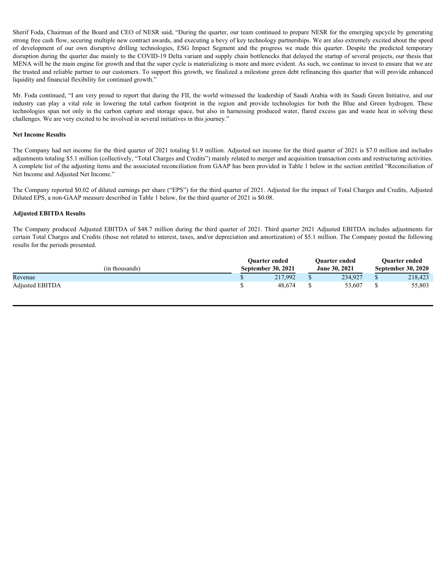Sherif Foda, Chairman of the Board and CEO of NESR said, "During the quarter, our team continued to prepare NESR for the emerging upcycle by generating strong free cash flow, securing multiple new contract awards, and executing a bevy of key technology partnerships. We are also extremely excited about the speed Sherif Foda, Chairman of the Board and CEO of NESR said, "During the quarter, our team continued to prepare NESR for the emerging upcycle by generating strong fere cash flow, securing multiple new contract awards, and exec disruption during the quarter due mainly to the COVID-19 Delta variant and supply chain bottlenecks that delayed the startup of several projects, our thesis that MENA will be the main engine for growth and that the super cycle is materializing is more and more evident. As such, we continue to invest to ensure that we are the trusted and reliable partner to our customers. To support this growth, we finalized a milestone green debt refinancing this quarter that will provide enhanced liquidity and financial flexibility for continued growth." Sherif Foda, Chairman of the Board and CEO of NESR said, "During the quarter, our team continued to prepare NESR for the emerging upcycle by generating strong free cash flow, securing multiple new contract awards, and exec Sherif Foda, Chairman of the Board and CEO of NESR said, "During the quarter, our team continued to prepare NESR for the emerging upcycle by generating<br>strong free cash flow, securing multiple new contract awards, and exec Sheri Foda, Chairmas of the Hand and CiO of NiSM said, "During the quater, or team continued to progress NiSM for the energing angular departed and the company includes and the company include and the company include and

Mr. Foda continued, "I am very proud to report that during the FII, the world witnessed the leadership of Saudi Arabia with its Saudi Green Initiative, and our challenges. We are very excited to be involved in several initiatives in this journey."

#### **Net Income Results**

The Company had net income for the third quarter of 2021 totaling \$1.9 million. Adjusted net income for the third quarter of 2021 is \$7.0 million and includes adjustments totaling \$5.1 million (collectively, "Total Charges and Credits") mainly related to merger and acquisition transaction costs and restructuring activities. A complete list of the adjusting items and the associated reconciliation from GAAP has been provided in Table 1 below in the section entitled "Reconciliation of Net Income and Adjusted Net Income."

The Company reported \$0.02 of diluted earnings per share ("EPS") for the third quarter of 2021. Adjusted for the impact of Total Charges and Credits, Adjusted Diluted EPS, a non-GAAP measure described in Table 1 below, for the third quarter of 2021 is \$0.08.

#### **Adjusted EBITDA Results**

certain Total Charges and Credits (those not related to interest, taxes, and/or depreciation and amortization) of \$5.1 million. The Company posted the following results for the periods presented.

|                        | <b>Ouarter ended</b> | <b>Ouarter ended</b> | <b>Ouarter ended</b> |                           |  |
|------------------------|----------------------|----------------------|----------------------|---------------------------|--|
| (in thousands)         | September 30, 2021   | June 30, 2021        |                      | <b>September 30, 2020</b> |  |
| Revenue                | 217,992              | 234,927              |                      | 218,423                   |  |
| <b>Adjusted EBITDA</b> | 48,674               | 53,607               |                      | 55,803                    |  |
|                        |                      |                      |                      |                           |  |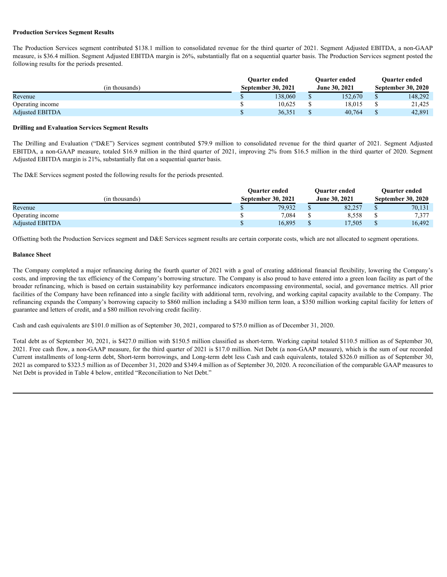#### **Production Services Segment Results**

| <b>Production Services Segment Results</b>                                                                                                                                                                                                  |                    |                                     |                               |                                |                                            |                  |
|---------------------------------------------------------------------------------------------------------------------------------------------------------------------------------------------------------------------------------------------|--------------------|-------------------------------------|-------------------------------|--------------------------------|--------------------------------------------|------------------|
| The Production Services segment contributed \$138.1 million to consolidated revenue for the third quarter of 2021. Segment Adjusted EBITDA, a non-GAAP                                                                                      |                    |                                     |                               |                                |                                            |                  |
| measure, is \$36.4 million. Segment Adjusted EBITDA margin is 26%, substantially flat on a sequential quarter basis. The Production Services segment posted the<br>following results for the periods presented.                             |                    |                                     |                               |                                |                                            |                  |
|                                                                                                                                                                                                                                             |                    | Quarter ended                       |                               | Quarter ended                  | Quarter ended                              |                  |
| (in thousands)                                                                                                                                                                                                                              |                    | September 30, 2021                  |                               | June 30, 2021                  | <b>September 30, 2020</b>                  |                  |
| Revenue                                                                                                                                                                                                                                     | \$.                | 138,060                             | <sup>S</sup>                  | 152,670                        | <sup>S</sup>                               | 148,292          |
| Operating income<br><b>Adjusted EBITDA</b>                                                                                                                                                                                                  | \$<br>$\mathbb{S}$ | 10,625<br>36,351                    | <sup>\$</sup><br>$\mathbf{s}$ | 18,015<br>40,764               | <sup>S</sup><br><b>S</b>                   | 21,425<br>42,891 |
|                                                                                                                                                                                                                                             |                    |                                     |                               |                                |                                            |                  |
| <b>Drilling and Evaluation Services Segment Results</b>                                                                                                                                                                                     |                    |                                     |                               |                                |                                            |                  |
| The Drilling and Evaluation ("D&E") Services segment contributed \$79.9 million to consolidated revenue for the third quarter of 2021. Segment Adjusted                                                                                     |                    |                                     |                               |                                |                                            |                  |
| EBITDA, a non-GAAP measure, totaled \$16.9 million in the third quarter of 2021, improving 2% from \$16.5 million in the third quarter of 2020. Segment<br>Adjusted EBITDA margin is 21%, substantially flat on a sequential quarter basis. |                    |                                     |                               |                                |                                            |                  |
|                                                                                                                                                                                                                                             |                    |                                     |                               |                                |                                            |                  |
| The D&E Services segment posted the following results for the periods presented.                                                                                                                                                            |                    |                                     |                               |                                |                                            |                  |
| (in thousands)                                                                                                                                                                                                                              |                    | Quarter ended<br>September 30, 2021 |                               | Quarter ended<br>June 30, 2021 | Quarter ended<br><b>September 30, 2020</b> |                  |

#### **Drilling and Evaluation Services Segment Results**

|                        | <b>Ouarter</b> ended      | <b>Ouarter ended</b> | <b>Ouarter ended</b> |                           |  |
|------------------------|---------------------------|----------------------|----------------------|---------------------------|--|
| (in thousands)         | <b>September 30, 2021</b> | <b>June 30, 2021</b> |                      | <b>September 30, 2020</b> |  |
| Revenue                | 79,932                    | 82,257               |                      | 70,131                    |  |
| Operating income       | 7,084                     | 8,558                |                      | 7,377                     |  |
| <b>Adjusted EBITDA</b> | 16,895                    | 17,505               |                      | 16,492                    |  |

Offsetting both the Production Services segment and D&E Services segment results are certain corporate costs, which are not allocated to segment operations.

#### **Balance Sheet**

The Company completed a major refinancing during the fourth quarter of 2021 with a goal of creating additional financial flexibility, lowering the Company's costs, and improving the tax efficiency of the Company's borrowing structure. The Company is also proud to have entered into a green loan facility as part of the broader refinancing, which is based on certain sustainability key performance indicators encompassing environmental, social, and governance metrics. All prior facilities of the Company have been refinanced into a single facility with additional term, revolving, and working capital capacity available to the Company. The refinancing expands the Company's borrowing capacity to \$860 million including a \$430 million term loan, a \$350 million working capital facility for letters of guarantee and letters of credit, and a \$80 million revolving credit facility.

Cash and cash equivalents are \$101.0 million as of September 30, 2021, compared to \$75.0 million as of December 31, 2020.

Total debt as of September 30, 2021, is \$427.0 million with \$150.5 million classified as short-term. Working capital totaled \$110.5 million as of September 30, 2021. Free cash flow, a non-GAAP measure, for the third quarter of 2021 is \$17.0 million. Net Debt (a non-GAAP measure), which is the sum of our recorded Current installments of long-term debt, Short-term borrowings, and Long-term debt less Cash and cash equivalents, totaled \$326.0 million as of September 30, 2021 as compared to \$323.5 million as of December 31, 2020 and \$349.4 million as of September 30, 2020. A reconciliation of the comparable GAAP measures to Net Debt is provided in Table 4 below, entitled "Reconciliation to Net Debt."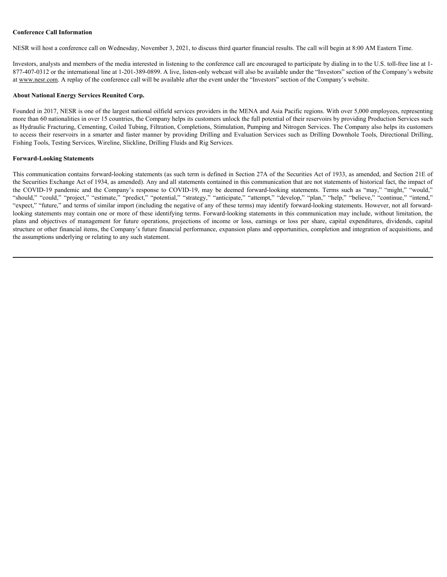#### **Conference Call Information**

NESR will host a conference call on Wednesday, November 3, 2021, to discuss third quarter financial results. The call will begin at 8:00 AM Eastern Time.

Investors, analysts and members of the media interested in listening to the conference call are encouraged to participate by dialing in to the U.S. toll-free line at 1- 877-407-0312 or the international line at 1-201-389-0899. A live, listen-only webcast will also be available under the "Investors" section of the Company's website at www.nesr.com. A replay of the conference call will be available after the event under the "Investors" section of the Company's website.

#### **About National Energy Services Reunited Corp.**

Founded in 2017, NESR is one of the largest national oilfield services providers in the MENA and Asia Pacific regions. With over 5,000 employees, representing more than 60 nationalities in over 15 countries, the Company helps its customers unlock the full potential of their reservoirs by providing Production Services such as Hydraulic Fracturing, Cementing, Coiled Tubing, Filtration, Completions, Stimulation, Pumping and Nitrogen Services. The Company also helps its customers to access their reservoirs in a smarter and faster manner by providing Drilling and Evaluation Services such as Drilling Downhole Tools, Directional Drilling, Fishing Tools, Testing Services, Wireline, Slickline, Drilling Fluids and Rig Services.

#### **Forward-Looking Statements**

This communication contains forward-looking statements (as such term is defined in Section 27A of the Securities Act of 1933, as amended, and Section 21E of the Securities Exchange Act of 1934, as amended). Any and all statements contained in this communication that are not statements of historical fact, the impact of Conference Call Information<br>NESR will host a conference call on Wednesday, November 3, 2021, to discuss third quarter financial results. The call will begin at 8:00 AM Eastern Time.<br>Investor, marly be not discussions A rep Conference Call Information<br>NESR will host a conference cull on Wedneday, November 3, 2021, to discuss third quarter financial results. The coll will begin at 8:00 AM Eastern Time.<br>
Investors, analysts and members of the m "expect," "future," and terms of similar import (including the negative of any of these terms) may identify forward-looking statements. However, not all forwardlooking statements may contain one or more of these identifying terms. Forward-looking statements in this communication may include, without limitation, the Conference Call Information<br>NESR will boat a conference call on Wednesday, November 3, 2021, to discuss third quarter financial results. The call will begin at 8:00 AM Exarcon Time,<br>Interactions, and meaning of the model i structure or other financial items, the Company's future financial performance, expansion plans and opportunities, completion and integration of acquisitions, and the assumptions underlying or relating to any such statement.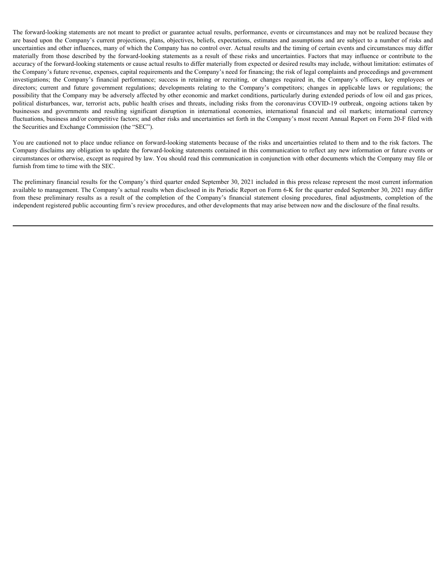The forward-looking statements are not meant to predict or guarantee actual results, performance, events or circumstances and may not be realized because they are based upon the Company's current projections, plans, objectives, beliefs, expectations, estimates and assumptions and are subject to a number of risks and uncertainties and other influences, many of which the Company has no control over. Actual results and the timing of certain events and circumstances may differ The forward-looking statements are not meant to predict or guarantee actual results, performance, events or circumstances and may not be realized because they are based upon the Company's current projections, plans, object accuracy of the forward-looking statements or cause actual results to differ materially from expected or desired results may include, without limitation: estimates of the Company's future revenue, expenses, capital requirements and the Company's need for financing; the risk of legal complaints and proceedings and government The forward-looking statements are not meant to predict or guarantee actual results, performance, events or circumstances and may not be realized because they are based upon the Company's current projections, plans, object The forward-looking statements are not meant to predict or guarantee actual results, performance, events or circumstances and may not be realized becauss they are based upon the Company's current projections, plans, object possibility that the Company may be adversely affected by other economic and market conditions, particularly during extended periods of low oil and gas prices, The forward-looking statements are not meant to predict or guarantee actual results, performance, events or circumstances and may not be realized because they are absed upon the Company's current projections, plans, object The forward-looking statements are not meant to predict or guarantee actual results, performance, events or circumstances and may not be realized because they are hased upon the Company's current projections, plans, object fluctuations, business and/or competitive factors; and other risks and uncertainties set forth in the Company's most recent Annual Report on Form 20-F filed with the Securities and Exchange Commission (the "SEC"). The forward-boding statements are not meant to predict or guarantes sental results, performance, events or divinary<br>transformances and your properties predictes, prior operators, beine, expectation, estimates and smanptons

You are cautioned not to place undue reliance on forward-looking statements because of the risks and uncertainties related to them and to the risk factors. The Company disclaims any obligation to update the forward-looking statements contained in this communication to reflect any new information or future events or circumstances or otherwise, except as required by law. You should read this communication in conjunction with other documents which the Company may file or furnish from time to time with the SEC.

The preliminary financial results for the Company's third quarter ended September 30, 2021 included in this press release represent the most current information available to management. The Company's actual results when disclosed in its Periodic Report on Form 6-K for the quarter ended September 30, 2021 may differ independent registered public accounting firm's review procedures, and other developments that may arise between now and the disclosure of the final results.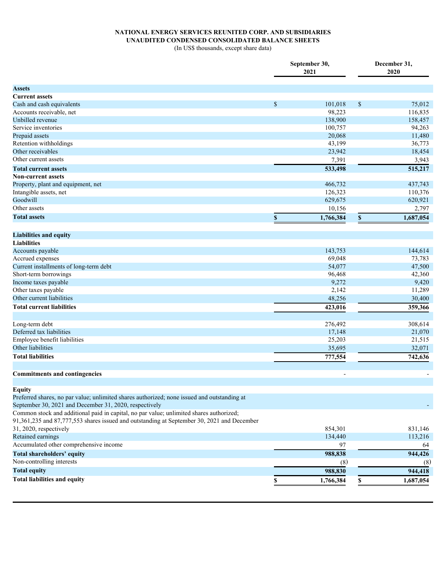# **NATIONAL ENERGY SERVICES REUNITED CORP. AND SUBSIDIARIES UNAUDITED CONDENSED CONSOLIDATED BALANCE SHEETS**

(In US\$ thousands, except share data)

|                                                                                             |              | September 30,<br>2021 |              | December 31,<br>2020 |  |  |
|---------------------------------------------------------------------------------------------|--------------|-----------------------|--------------|----------------------|--|--|
| <b>Assets</b>                                                                               |              |                       |              |                      |  |  |
| <b>Current assets</b>                                                                       |              |                       |              |                      |  |  |
| Cash and cash equivalents                                                                   | $\mathbb{S}$ | 101,018               | $\mathbb{S}$ | 75,012               |  |  |
| Accounts receivable, net                                                                    |              | 98,223                |              | 116,835              |  |  |
| Unbilled revenue                                                                            |              | 138,900               |              | 158,457              |  |  |
| Service inventories                                                                         |              | 100,757               |              | 94,263               |  |  |
| Prepaid assets                                                                              |              | 20,068                |              | 11,480               |  |  |
| Retention withholdings                                                                      |              | 43,199                |              | 36,773               |  |  |
| Other receivables                                                                           |              | 23,942                |              | 18,454               |  |  |
| Other current assets                                                                        |              | 7,391                 |              | 3,943                |  |  |
| <b>Total current assets</b>                                                                 |              | 533,498               |              | 515,217              |  |  |
| <b>Non-current assets</b>                                                                   |              |                       |              |                      |  |  |
| Property, plant and equipment, net                                                          |              | 466,732               |              | 437,743              |  |  |
| Intangible assets, net                                                                      |              | 126,323               |              | 110,376              |  |  |
| Goodwill                                                                                    |              | 629,675               |              | 620,921              |  |  |
| Other assets                                                                                |              | 10,156                |              | 2,797                |  |  |
| <b>Total assets</b>                                                                         | S.           | 1,766,384             | \$           | 1,687,054            |  |  |
|                                                                                             |              |                       |              |                      |  |  |
| <b>Liabilities and equity</b>                                                               |              |                       |              |                      |  |  |
| <b>Liabilities</b>                                                                          |              |                       |              |                      |  |  |
| Accounts payable                                                                            |              | 143,753               |              | 144,614              |  |  |
| Accrued expenses                                                                            |              | 69,048                |              | 73,783               |  |  |
| Current installments of long-term debt                                                      |              | 54,077                |              | 47,500               |  |  |
| Short-term borrowings                                                                       |              | 96,468                |              | 42,360               |  |  |
| Income taxes payable                                                                        |              | 9,272                 |              | 9,420                |  |  |
| Other taxes payable                                                                         |              | 2,142                 |              | 11,289               |  |  |
| Other current liabilities                                                                   |              | 48,256                |              | 30,400               |  |  |
| <b>Total current liabilities</b>                                                            |              | 423,016               |              | 359,366              |  |  |
|                                                                                             |              |                       |              |                      |  |  |
| Long-term debt                                                                              |              | 276,492               |              | 308,614              |  |  |
| Deferred tax liabilities                                                                    |              | 17,148                |              | 21,070               |  |  |
| Employee benefit liabilities                                                                |              | 25,203                |              | 21,515               |  |  |
| Other liabilities                                                                           |              | 35,695                |              | 32,071               |  |  |
| <b>Total liabilities</b>                                                                    |              | 777,554               |              | 742,636              |  |  |
|                                                                                             |              |                       |              |                      |  |  |
| <b>Commitments and contingencies</b>                                                        |              |                       |              |                      |  |  |
| <b>Equity</b>                                                                               |              |                       |              |                      |  |  |
| Preferred shares, no par value; unlimited shares authorized; none issued and outstanding at |              |                       |              |                      |  |  |
| September 30, 2021 and December 31, 2020, respectively                                      |              |                       |              |                      |  |  |
| Common stock and additional paid in capital, no par value; unlimited shares authorized;     |              |                       |              |                      |  |  |
| 91,361,235 and 87,777,553 shares issued and outstanding at September 30, 2021 and December  |              |                       |              |                      |  |  |
| 31, 2020, respectively                                                                      |              | 854,301               |              | 831,146              |  |  |
| Retained earnings                                                                           |              | 134,440               |              | 113,216              |  |  |
| Accumulated other comprehensive income                                                      |              | 97                    |              | 64                   |  |  |
| <b>Total shareholders' equity</b>                                                           |              | 988,838               |              | 944,426              |  |  |
| Non-controlling interests                                                                   |              | (8)                   |              | (8)                  |  |  |
| <b>Total equity</b>                                                                         |              | 988,830               |              | 944,418              |  |  |
| <b>Total liabilities and equity</b>                                                         |              | 1,766,384             | \$           | 1,687,054            |  |  |
|                                                                                             |              |                       |              |                      |  |  |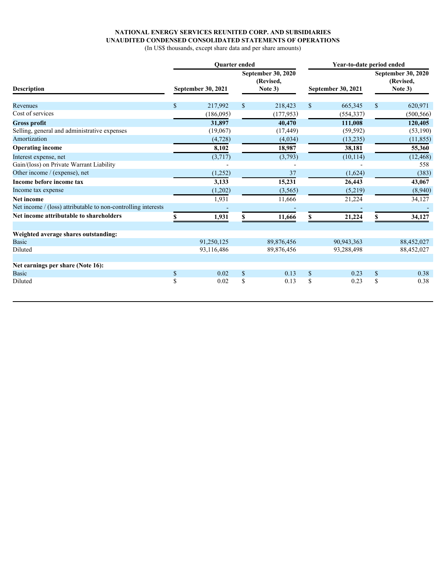## **NATIONAL ENERGY SERVICES REUNITED CORP. AND SUBSIDIARIES UNAUDITED CONDENSED CONSOLIDATED STATEMENTS OF OPERATIONS**

(In US\$ thousands, except share data and per share amounts)

|                                                               |                           | Quarter ended |                                                   |            | Year-to-date period ended |                           |                                                   |            |  |  |
|---------------------------------------------------------------|---------------------------|---------------|---------------------------------------------------|------------|---------------------------|---------------------------|---------------------------------------------------|------------|--|--|
| <b>Description</b>                                            | <b>September 30, 2021</b> |               | <b>September 30, 2020</b><br>(Revised,<br>Note 3) |            |                           | <b>September 30, 2021</b> | <b>September 30, 2020</b><br>(Revised,<br>Note 3) |            |  |  |
| Revenues                                                      | S                         | 217,992       | \$                                                | 218,423    | <sup>\$</sup>             | 665,345                   | $\mathbf{\$}$                                     | 620,971    |  |  |
| Cost of services                                              |                           | (186,095)     |                                                   | (177, 953) |                           | (554, 337)                |                                                   | (500, 566) |  |  |
| <b>Gross profit</b>                                           |                           | 31,897        |                                                   | 40,470     |                           | 111,008                   |                                                   | 120,405    |  |  |
| Selling, general and administrative expenses                  |                           | (19,067)      |                                                   | (17, 449)  |                           | (59, 592)                 |                                                   | (53,190)   |  |  |
| Amortization                                                  |                           | (4, 728)      |                                                   | (4,034)    |                           | (13,235)                  |                                                   | (11, 855)  |  |  |
| <b>Operating income</b>                                       |                           | 8,102         |                                                   | 18,987     |                           | 38,181                    |                                                   | 55,360     |  |  |
| Interest expense, net                                         |                           | (3,717)       |                                                   | (3,793)    |                           | (10, 114)                 |                                                   | (12, 468)  |  |  |
| Gain/(loss) on Private Warrant Liability                      |                           |               |                                                   |            |                           |                           |                                                   | 558        |  |  |
| Other income / (expense), net                                 |                           | (1,252)       |                                                   | 37         |                           | (1,624)                   |                                                   | (383)      |  |  |
| Income before income tax                                      |                           | 3,133         |                                                   | 15,231     |                           | 26,443                    |                                                   | 43,067     |  |  |
| Income tax expense                                            |                           | (1,202)       |                                                   | (3, 565)   |                           | (5,219)                   |                                                   | (8,940)    |  |  |
| <b>Net income</b>                                             |                           | 1,931         |                                                   | 11,666     |                           | 21,224                    |                                                   | 34,127     |  |  |
| Net income / (loss) attributable to non-controlling interests |                           |               |                                                   |            |                           |                           |                                                   |            |  |  |
| Net income attributable to shareholders                       |                           | 1,931         |                                                   | 11,666     |                           | 21,224                    |                                                   | 34,127     |  |  |
| Weighted average shares outstanding:                          |                           |               |                                                   |            |                           |                           |                                                   |            |  |  |
| <b>Basic</b>                                                  |                           | 91,250,125    |                                                   | 89,876,456 |                           | 90,943,363                |                                                   | 88,452,027 |  |  |
| Diluted                                                       |                           | 93,116,486    |                                                   | 89,876,456 |                           | 93,288,498                |                                                   | 88,452,027 |  |  |
| Net earnings per share (Note 16):                             |                           |               |                                                   |            |                           |                           |                                                   |            |  |  |
| <b>Basic</b>                                                  | \$                        | 0.02          | $\mathcal{S}$                                     | 0.13       | <sup>\$</sup>             | 0.23                      | $\mathcal{S}$                                     | 0.38       |  |  |
| Diluted                                                       | \$                        | 0.02          | \$                                                | 0.13       | \$.                       | 0.23                      | <sup>\$</sup>                                     | 0.38       |  |  |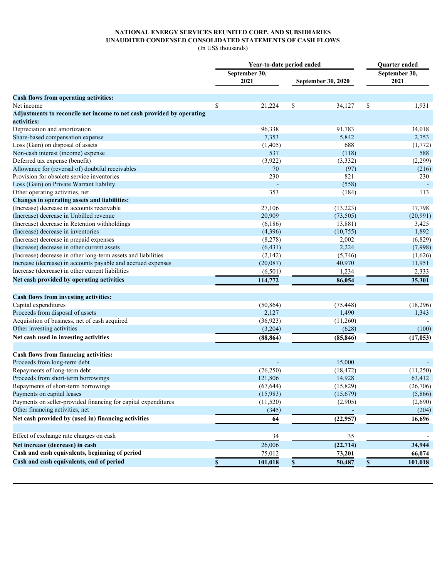## **NATIONAL ENERGY SERVICES REUNITED CORP. AND SUBSIDIARIES UNAUDITED CONDENSED CONSOLIDATED STATEMENTS OF CASH FLOWS**

(In US\$ thousands)

|                                                                       | Year-to-date period ended | Quarter ended             |                       |  |  |
|-----------------------------------------------------------------------|---------------------------|---------------------------|-----------------------|--|--|
|                                                                       | September 30,<br>2021     | <b>September 30, 2020</b> | September 30,<br>2021 |  |  |
|                                                                       |                           |                           |                       |  |  |
| Cash flows from operating activities:                                 |                           |                           |                       |  |  |
| Net income                                                            | 21,224<br>S               | 34,127<br>S               | 1,931<br><sup>S</sup> |  |  |
| Adjustments to reconcile net income to net cash provided by operating |                           |                           |                       |  |  |
| activities:                                                           |                           |                           |                       |  |  |
| Depreciation and amortization                                         | 96,338                    | 91,783                    | 34,018                |  |  |
| Share-based compensation expense                                      | 7,353                     | 5,842                     | 2,753                 |  |  |
| Loss (Gain) on disposal of assets                                     | (1, 405)<br>537           | 688                       | (1,772)<br>588        |  |  |
| Non-cash interest (income) expense<br>Deferred tax expense (benefit)  | (3,922)                   | (118)                     | (2,299)               |  |  |
| Allowance for (reversal of) doubtful receivables                      | 70                        | (3, 332)                  | (216)                 |  |  |
| Provision for obsolete service inventories                            | 230                       | (97)<br>821               |                       |  |  |
|                                                                       |                           |                           | 230                   |  |  |
| Loss (Gain) on Private Warrant liability                              |                           | (558)                     |                       |  |  |
| Other operating activities, net                                       | 353                       | (184)                     | 113                   |  |  |
| Changes in operating assets and liabilities:                          |                           |                           |                       |  |  |
| (Increase) decrease in accounts receivable                            | 27,106                    | (13,223)                  | 17,798                |  |  |
| (Increase) decrease in Unbilled revenue                               | 20,909                    | (73, 505)                 | (20,991)              |  |  |
| (Increase) decrease in Retention withholdings                         | (6,186)                   | 13,881)                   | 3,425                 |  |  |
| (Increase) decrease in inventories                                    | (4,396)                   | (10, 755)                 | 1,892                 |  |  |
| (Increase) decrease in prepaid expenses                               | (8,278)                   | 2,002                     | (6,829)               |  |  |
| (Increase) decrease in other current assets                           | (6, 431)                  | 2,224                     | (7,998)               |  |  |
| (Increase) decrease in other long-term assets and liabilities         | (2,142)                   | (5,746)                   | (1,626)               |  |  |
| Increase (decrease) in accounts payable and accrued expenses          | (20,087)                  | 40,970                    | 11,951                |  |  |
| Increase (decrease) in other current liabilities                      | (6,501)                   | 1,234                     | 2,333                 |  |  |
| Net cash provided by operating activities                             | 114,772                   | 86,054                    | 35,301                |  |  |
| Cash flows from investing activities:                                 |                           |                           |                       |  |  |
| Capital expenditures                                                  | (50, 864)                 | (75, 448)                 | (18, 296)             |  |  |
| Proceeds from disposal of assets                                      | 2,127                     | 1,490                     | 1,343                 |  |  |
| Acquisition of business, net of cash acquired                         | (36, 923)                 | (11,260)                  |                       |  |  |
| Other investing activities                                            | (3,204)                   | (628)                     | (100)                 |  |  |
| Net cash used in investing activities                                 | (88, 864)                 | (85, 846)                 | (17, 053)             |  |  |
| Cash flows from financing activities:                                 |                           |                           |                       |  |  |
| Proceeds from long-term debt                                          |                           | 15,000                    |                       |  |  |
| Repayments of long-term debt                                          | (26, 250)                 | (18, 472)                 | (11,250)              |  |  |
| Proceeds from short-term borrowings                                   | 121,806                   | 14,928                    | 63,412                |  |  |
| Repayments of short-term borrowings                                   | (67, 644)                 | (15, 829)                 | (26, 706)             |  |  |
| Payments on capital leases                                            | (15,983)                  | (15,679)                  | (5,866)               |  |  |
| Payments on seller-provided financing for capital expenditures        | (11, 520)                 | (2,905)                   | (2,690)               |  |  |
| Other financing activities, net                                       | (345)                     |                           | (204)                 |  |  |
| Net cash provided by (used in) financing activities                   | $\overline{64}$           |                           |                       |  |  |
|                                                                       |                           | (22, 957)                 | 16,696                |  |  |
| Effect of exchange rate changes on cash                               | 34                        | 35                        |                       |  |  |
| Net increase (decrease) in cash                                       | 26,006                    | (22, 714)                 | 34,944                |  |  |
| Cash and cash equivalents, beginning of period                        | 75,012                    | 73,201                    | 66,074                |  |  |
| Cash and cash equivalents, end of period                              | 101,018                   | 50,487                    | 101,018               |  |  |
|                                                                       |                           |                           |                       |  |  |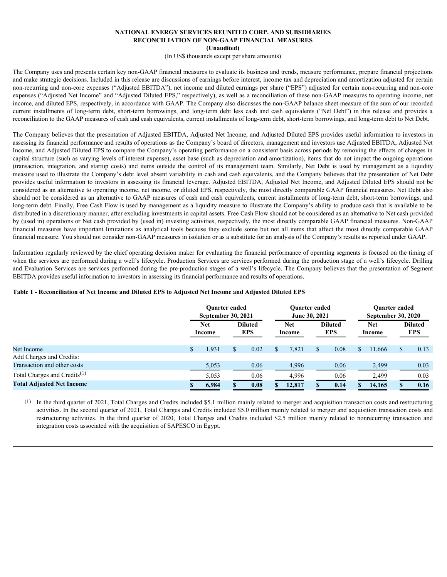#### **NATIONAL ENERGY SERVICES REUNITED CORP. AND SUBSIDIARIES RECONCILIATION OF NON-GAAP FINANCIAL MEASURES (Unaudited)**

(In US\$ thousands except per share amounts)

The Company uses and presents certain key non-GAAP financial measures to evaluate its business and trends, measure performance, prepare financial projections and make strategic decisions. Included in this release are discussions of earnings before interest, income tax and depreciation and amortization adjusted for certain non-recurring and non-core expenses ("Adjusted EBITDA"), net income and diluted earnings per share ("EPS") adjusted for certain non-recurring and non-core expenses ("Adjusted Net Income" and "Adjusted Diluted EPS," respectively), as well as a reconciliation of these non-GAAP measures to operating income, net income, and diluted EPS, respectively, in accordance with GAAP. The Company also discusses the non-GAAP balance sheet measure of the sum of our recorded NATIONAL ENERGY SERVICES REUNTED CORP. AND SUBSIDIARIES RECORPTION ARE RECORPTION OF NON-GAAP FINANCIAL MEASURES (Unaudited)<br>
(In USS thousands except per share announts)<br>
(In USS thousands creept per share announts)<br>
and reconciliation to the GAAP measures of cash and cash equivalents, current installments of long-term debt, short-term borrowings, and long-term debt to Net Debt.

The Company believes that the presentation of Adjusted EBITDA, Adjusted Net Income, and Adjusted Diluted EPS provides useful information to investors in assessing its financial performance and results of operations as the Company's board of directors, management and investors use Adjusted EBITDA, Adjusted Net Income, and Adjusted Diluted EPS to compare the Company's operating performance on a consistent basis across periods by removing the effects of changes in capital structure (such as varying levels of interest expense), asset base (such as depreciation and amortization), items that do not impact the ongoing operations NATIONAL ENERGY SERVICES REUNTEED CORP. AND SUBSIDIARIES RECONNIBY (ILLERTORY AND SUBSIDENTS) The COMPROM CORP (ILLERTORY SUBSIDENTS) The COMPROM CONTROL (ILLERTORY INTEGRATION) (ILLES SUBSIDE COMPROME SUBSIDE THE COMPROM measure used to illustrate the Company's debt level absent variability in cash and cash equivalents, and the Company believes that the presentation of Net Debt provides useful information to investors in assessing its financial leverage. Adjusted EBITDA, Adjusted Net Income, and Adjusted Diluted EPS should not be considered as an alternative to operating income, net income, or diluted EPS, respectively, the most directly comparable GAAP financial measures. Net Debt also should not be considered as an alternative to GAAP measures of cash and cash equivalents, current installments of long-term debt, short-term borrowings, and long-term debt. Finally, Free Cash Flow is used by management as a liquidity measure to illustrate the Company's ability to produce cash that is available to be distributed in a discretionary manner, after excluding investments in capital assets. Free Cash Flow should not be considered as an alternative to Net cash provided by (used in) operations or Net cash provided by (used in) investing activities, respectively, the most directly comparable GAAP financial measures. Non-GAAP **EXECUTE ANTIONAL ENERGY SERVICES REUNTED CORP. AND SUBSIDENTS SERVICES AND ARREST ANTION OF MONAL ANTEND ANTION CONTENTS ANTEND IN CONTENTS AND A CONSERVATE CONTENTS (FIRE CONTENTS) and a maximized the solid of the some** financial measure. You should not consider non-GAAP measures in isolation or as a substitute for an analysis of the Company's results as reported under GAAP.

### **Table 1 - Reconciliation of Net Income and Diluted EPS to Adjusted Net Income and Adjusted Diluted EPS**

| provides useful information to investors in assessing its financial leverage. Adjusted EBITDA, Adjusted Net Income, and Adjusted Diluted EPS should not be<br>considered as an alternative to operating income, net income, or diluted EPS, respectively, the most directly comparable GAAP financial measures. Net Debt also<br>should not be considered as an alternative to GAAP measures of cash and cash equivalents, current installments of long-term debt, short-term borrowings, and<br>long-term debt. Finally, Free Cash Flow is used by management as a liquidity measure to illustrate the Company's ability to produce cash that is available to be<br>distributed in a discretionary manner, after excluding investments in capital assets. Free Cash Flow should not be considered as an alternative to Net cash provided<br>by (used in) operations or Net cash provided by (used in) investing activities, respectively, the most directly comparable GAAP financial measures. Non-GAAP<br>financial measures have important limitations as analytical tools because they exclude some but not all items that affect the most directly comparable GAAP<br>financial measure. You should not consider non-GAAP measures in isolation or as a substitute for an analysis of the Company's results as reported under GAAP.<br>Information regularly reviewed by the chief operating decision maker for evaluating the financial performance of operating segments is focused on the timing of<br>when the services are performed during a well's lifecycle. Production Services are services performed during the production stage of a well's lifecycle. Drilling<br>and Evaluation Services are services performed during the pre-production stages of a well's lifecycle. The Company believes that the presentation of Segment<br>EBITDA provides useful information to investors in assessing its financial performance and results of operations. |                                                      |                                        |                                                      |  |
|------------------------------------------------------------------------------------------------------------------------------------------------------------------------------------------------------------------------------------------------------------------------------------------------------------------------------------------------------------------------------------------------------------------------------------------------------------------------------------------------------------------------------------------------------------------------------------------------------------------------------------------------------------------------------------------------------------------------------------------------------------------------------------------------------------------------------------------------------------------------------------------------------------------------------------------------------------------------------------------------------------------------------------------------------------------------------------------------------------------------------------------------------------------------------------------------------------------------------------------------------------------------------------------------------------------------------------------------------------------------------------------------------------------------------------------------------------------------------------------------------------------------------------------------------------------------------------------------------------------------------------------------------------------------------------------------------------------------------------------------------------------------------------------------------------------------------------------------------------------------------------------------------------------------------------------------------------------------|------------------------------------------------------|----------------------------------------|------------------------------------------------------|--|
| Table 1 - Reconciliation of Net Income and Diluted EPS to Adjusted Net Income and Adjusted Diluted EPS                                                                                                                                                                                                                                                                                                                                                                                                                                                                                                                                                                                                                                                                                                                                                                                                                                                                                                                                                                                                                                                                                                                                                                                                                                                                                                                                                                                                                                                                                                                                                                                                                                                                                                                                                                                                                                                                 |                                                      |                                        |                                                      |  |
|                                                                                                                                                                                                                                                                                                                                                                                                                                                                                                                                                                                                                                                                                                                                                                                                                                                                                                                                                                                                                                                                                                                                                                                                                                                                                                                                                                                                                                                                                                                                                                                                                                                                                                                                                                                                                                                                                                                                                                        | Quarter ended<br><b>September 30, 2021</b>           | <b>Ouarter ended</b><br>June 30, 2021  | <b>Ouarter ended</b><br><b>September 30, 2020</b>    |  |
|                                                                                                                                                                                                                                                                                                                                                                                                                                                                                                                                                                                                                                                                                                                                                                                                                                                                                                                                                                                                                                                                                                                                                                                                                                                                                                                                                                                                                                                                                                                                                                                                                                                                                                                                                                                                                                                                                                                                                                        | <b>Diluted</b><br><b>Net</b><br><b>EPS</b><br>Income | <b>Diluted</b><br>Net<br>EPS<br>Income | <b>Diluted</b><br><b>Net</b><br><b>EPS</b><br>Income |  |
| Net Income<br>Add Charges and Credits:<br>Transaction and other costs                                                                                                                                                                                                                                                                                                                                                                                                                                                                                                                                                                                                                                                                                                                                                                                                                                                                                                                                                                                                                                                                                                                                                                                                                                                                                                                                                                                                                                                                                                                                                                                                                                                                                                                                                                                                                                                                                                  | 1,931<br>0.02<br>5,053<br>0.06                       | 0.08<br>7,821<br>-8<br>4,996<br>0.06   | 0.13<br>11,666<br>- S<br>2,499<br>0.03               |  |
| Total Charges and Credits <sup>(1)</sup>                                                                                                                                                                                                                                                                                                                                                                                                                                                                                                                                                                                                                                                                                                                                                                                                                                                                                                                                                                                                                                                                                                                                                                                                                                                                                                                                                                                                                                                                                                                                                                                                                                                                                                                                                                                                                                                                                                                               | 0.06<br>5,053                                        | 4,996<br>0.06                          | 0.03<br>2,499                                        |  |
| <b>Total Adjusted Net Income</b>                                                                                                                                                                                                                                                                                                                                                                                                                                                                                                                                                                                                                                                                                                                                                                                                                                                                                                                                                                                                                                                                                                                                                                                                                                                                                                                                                                                                                                                                                                                                                                                                                                                                                                                                                                                                                                                                                                                                       | 6,984<br>0.08                                        | 12,817<br>0.14<br>-8                   | 14,165<br>0.16                                       |  |
| (1) In the third quarter of 2021, Total Charges and Credits included \$5.1 million mainly related to merger and acquisition transaction costs and restructuring<br>activities. In the second quarter of 2021, Total Charges and Credits included \$5.0 million mainly related to merger and acquisition transaction costs and<br>restructuring activities. In the third quarter of 2020, Total Charges and Credits included \$2.5 million mainly related to nonrecurring transaction and<br>integration costs associated with the acquisition of SAPESCO in Egypt.                                                                                                                                                                                                                                                                                                                                                                                                                                                                                                                                                                                                                                                                                                                                                                                                                                                                                                                                                                                                                                                                                                                                                                                                                                                                                                                                                                                                     |                                                      |                                        |                                                      |  |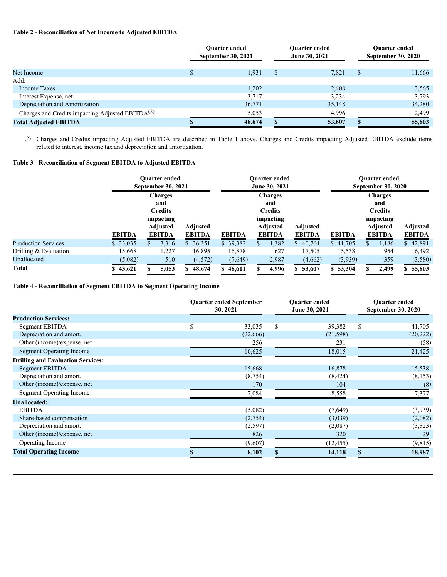## **Table 2 - Reconciliation of Net Income to Adjusted EBITDA**

| Table 2 - Reconciliation of Net Income to Adjusted EBITDA                                                                                                                                                           |                                            |                      |                                |                     |                                                   |                           |
|---------------------------------------------------------------------------------------------------------------------------------------------------------------------------------------------------------------------|--------------------------------------------|----------------------|--------------------------------|---------------------|---------------------------------------------------|---------------------------|
|                                                                                                                                                                                                                     |                                            | <b>Quarter ended</b> |                                | Quarter ended       |                                                   | Quarter ended             |
|                                                                                                                                                                                                                     |                                            | September 30, 2021   |                                | June 30, 2021       |                                                   | <b>September 30, 2020</b> |
| Net Income                                                                                                                                                                                                          |                                            | 1,931                | $^{\circ}$                     | 7,821               | - \$                                              | 11,666                    |
| Add:                                                                                                                                                                                                                |                                            |                      |                                |                     |                                                   |                           |
| <b>Income Taxes</b><br>Interest Expense, net                                                                                                                                                                        |                                            | 1,202<br>3,717       |                                | 2,408<br>3,234      |                                                   | 3,565<br>3,793            |
| Depreciation and Amortization                                                                                                                                                                                       |                                            | 36,771               |                                | 35,148              |                                                   | 34,280                    |
| Charges and Credits impacting Adjusted EBITDA <sup>(2)</sup>                                                                                                                                                        |                                            | 5,053                |                                | 4,996               |                                                   | 2,499                     |
| <b>Total Adjusted EBITDA</b>                                                                                                                                                                                        |                                            | 48,674               | $\mathbf{s}$                   | $\overline{53,607}$ | -SS                                               | 55,803                    |
|                                                                                                                                                                                                                     |                                            |                      |                                |                     |                                                   |                           |
| (2) Charges and Credits impacting Adjusted EBITDA are described in Table 1 above. Charges and Credits impacting Adjusted EBITDA exclude items<br>related to interest, income tax and depreciation and amortization. |                                            |                      |                                |                     |                                                   |                           |
| Table 3 - Reconciliation of Segment EBITDA to Adjusted EBITDA                                                                                                                                                       |                                            |                      |                                |                     |                                                   |                           |
|                                                                                                                                                                                                                     | Quarter ended<br><b>September 30, 2021</b> |                      | Quarter ended<br>June 30, 2021 |                     | <b>Quarter ended</b><br><b>September 30, 2020</b> |                           |

## **Table 3 - Reconciliation of Segment EBITDA to Adjusted EBITDA**

|                            |               | <b>Ouarter ended</b><br><b>September 30, 2021</b> |               |               | <b>Ouarter ended</b><br>June 30, 2021 |               | <b>Ouarter ended</b><br><b>September 30, 2020</b> |                 |               |  |
|----------------------------|---------------|---------------------------------------------------|---------------|---------------|---------------------------------------|---------------|---------------------------------------------------|-----------------|---------------|--|
|                            |               | <b>Charges</b>                                    |               |               | <b>Charges</b>                        |               | <b>Charges</b>                                    |                 |               |  |
|                            |               | and                                               |               |               | and                                   |               |                                                   | and             |               |  |
|                            |               | Credits                                           |               |               | Credits                               |               |                                                   | <b>Credits</b>  |               |  |
|                            |               | impacting                                         |               |               | impacting                             |               |                                                   | impacting       |               |  |
|                            |               | Adjusted                                          | Adjusted      |               | <b>Adjusted</b>                       | Adjusted      |                                                   | <b>Adjusted</b> | Adjusted      |  |
|                            | <b>EBITDA</b> | <b>EBITDA</b>                                     | <b>EBITDA</b> | <b>EBITDA</b> | <b>EBITDA</b>                         | <b>EBITDA</b> | <b>EBITDA</b>                                     | <b>EBITDA</b>   | <b>EBITDA</b> |  |
| <b>Production Services</b> | \$33,035      | 3,316                                             | 36,351        | \$39,382      | 1,382                                 | 40,764        | 41,705                                            | ,186            | 42,891        |  |
| Drilling & Evaluation      | 15,668        | 1,227                                             | 16,895        | 16,878        | 627                                   | 17,505        | 15,538                                            | 954             | 16,492        |  |
| Unallocated                | (5,082)       | 510                                               | (4, 572)      | (7,649)       | 2,987                                 | (4,662)       | (3,939)                                           | 359             | (3,580)       |  |
| <b>Total</b>               | \$43,621      | 5,053                                             | 48,674        | \$48,611      | 4,996                                 | 53,607        | 53,304                                            | 2,499           | 55,803        |  |
|                            |               |                                                   |               |               |                                       |               |                                                   |                 |               |  |

#### **Table 4 - Reconciliation of Segment EBITDA to Segment Operating Income**

|                                          | Quarter ended September<br>30, 2021 |          | <b>Ouarter</b> ended<br>June 30, 2021 | <b>Ouarter ended</b><br><b>September 30, 2020</b> |           |  |
|------------------------------------------|-------------------------------------|----------|---------------------------------------|---------------------------------------------------|-----------|--|
| <b>Production Services:</b>              |                                     |          |                                       |                                                   |           |  |
| Segment EBITDA                           |                                     | 33,035   | 39,382                                |                                                   | 41,705    |  |
| Depreciation and amort.                  |                                     | (22,666) | (21, 598)                             |                                                   | (20, 222) |  |
| Other (income)/expense, net              |                                     | 256      | 231                                   |                                                   | (58)      |  |
| <b>Segment Operating Income</b>          |                                     | 10,625   | 18,015                                |                                                   | 21,425    |  |
| <b>Drilling and Evaluation Services:</b> |                                     |          |                                       |                                                   |           |  |
| <b>Segment EBITDA</b>                    |                                     | 15,668   | 16,878                                |                                                   | 15,538    |  |
| Depreciation and amort.                  |                                     | (8, 754) | (8, 424)                              |                                                   | (8,153)   |  |
| Other (income)/expense, net              |                                     | 170      | 104                                   |                                                   | (8)       |  |
| <b>Segment Operating Income</b>          |                                     | 7,084    | 8,558                                 |                                                   | 7,377     |  |
| <b>Unallocated:</b>                      |                                     |          |                                       |                                                   |           |  |
| <b>EBITDA</b>                            |                                     | (5,082)  | (7,649)                               |                                                   | (3,939)   |  |
| Share-based compensation                 |                                     | (2,754)  | (3,039)                               |                                                   | (2,082)   |  |
| Depreciation and amort.                  |                                     | (2,597)  | (2,087)                               |                                                   | (3,823)   |  |
| Other (income)/expense, net              |                                     | 826      | 320                                   |                                                   | 29        |  |
| Operating Income                         |                                     | (9,607)  | (12, 455)                             |                                                   | (9, 815)  |  |
| <b>Total Operating Income</b>            |                                     | 8,102    | 14,118                                |                                                   | 18,987    |  |
|                                          |                                     |          |                                       |                                                   |           |  |